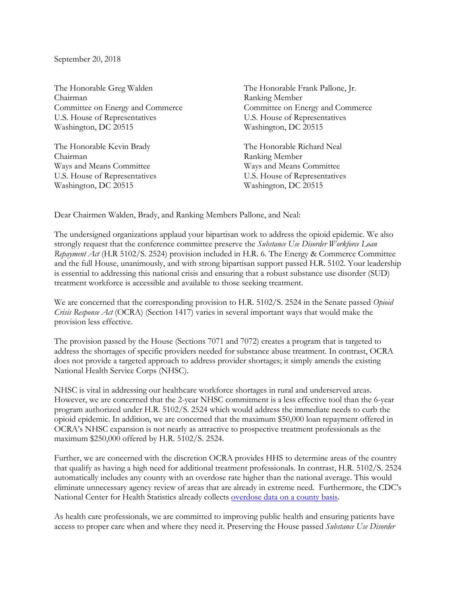## September 20, 2018

The Honorable Greg Walden Chairman Committee on Energy and Commerce U.S. House of Representatives Washington, DC 20515

The Honorable Kevin Brady Chairman Ways and Means Committee U.S. House of Representatives Washington, DC 20515

The Honorable Frank Pallone, Jr. Ranking Member Committee on Energy and Commerce U.S. House of Representatives Washington, DC 20515

The Honorable Richard Neal Ranking Member Ways and Means Committee U.S. House of Representatives Washington, DC 20515

Dear Chairmen Walden, Brady, and Ranking Members Pallone, and Neal:

The undersigned organizations applaud your bipartisan work to address the opioid epidemic. We also strongly request that the conference committee preserve the *Substance Use Disorder Workforce Loan Repayment Act* (H.R 5102/S. 2524) provision included in H.R. 6. The Energy & Commerce Committee and the full House, unanimously, and with strong bipartisan support passed H.R. 5102. Your leadership is essential to addressing this national crisis and ensuring that a robust substance use disorder (SUD) treatment workforce is accessible and available to those seeking treatment.

We are concerned that the corresponding provision to H.R. 5102/S. 2524 in the Senate passed *Opioid Crisis Response Act* (OCRA) (Section 1417) varies in several important ways that would make the provision less effective.

The provision passed by the House (Sections 7071 and 7072) creates a program that is targeted to address the shortages of specific providers needed for substance abuse treatment. In contrast, OCRA does not provide a targeted approach to address provider shortages; it simply amends the existing National Health Service Corps (NHSC).

NHSC is vital in addressing our healthcare workforce shortages in rural and underserved areas. However, we are concerned that the 2-year NHSC commitment is a less effective tool than the 6-year program authorized under H.R. 5102/S. 2524 which would address the immediate needs to curb the opioid epidemic. In addition, we are concerned that the maximum \$50,000 loan repayment offered in OCRA's NHSC expansion is not nearly as attractive to prospective treatment professionals as the maximum \$250,000 offered by H.R. 5102/S. 2524.

Further, we are concerned with the discretion OCRA provides HHS to determine areas of the country that qualify as having a high need for additional treatment professionals. In contrast, H.R. 5102/S. 2524 automatically includes any county with an overdose rate higher than the national average. This would eliminate unnecessary agency review of areas that are already in extreme need. Furthermore, the CDC's National Center for Health Statistics already collects [overdose data on a county basis.](https://urldefense.proofpoint.com/v2/url?u=https-3A__data.cdc.gov_NCHS_Drug-2DPoisoning-2DMortality-2Dby-2DCounty-2DUnited-2DStates_p56q-2Djrxg_&d=DwMFAg&c=L93KkjKsAC98uTvC4KvQDTmmq1mJ2vMPtzuTpFgX8gY&r=vP2bawu14MMz62Zfkf0uWBvVawtWQDPpEGCoTPXrFY8&m=QlHK4uI43h9ot25aaq1RZB2zEAu7p4wISNEkhLHNFTw&s=FznM-841YbaXkebEF2xjZ18gz2pLakdRNsxo6XI66Kk&e=)

As health care professionals, we are committed to improving public health and ensuring patients have access to proper care when and where they need it. Preserving the House passed *Substance Use Disorder*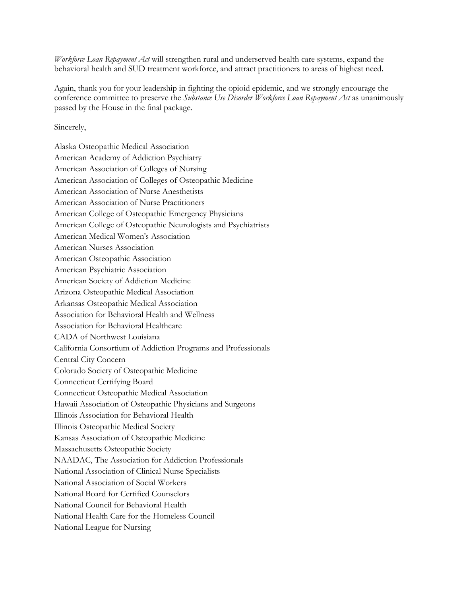*Workforce Loan Repayment Act* will strengthen rural and underserved health care systems, expand the behavioral health and SUD treatment workforce, and attract practitioners to areas of highest need.

Again, thank you for your leadership in fighting the opioid epidemic, and we strongly encourage the conference committee to preserve the *Substance Use Disorder Workforce Loan Repayment Act* as unanimously passed by the House in the final package.

Sincerely,

Alaska Osteopathic Medical Association American Academy of Addiction Psychiatry American Association of Colleges of Nursing American Association of Colleges of Osteopathic Medicine American Association of Nurse Anesthetists American Association of Nurse Practitioners American College of Osteopathic Emergency Physicians American College of Osteopathic Neurologists and Psychiatrists American Medical Women's Association American Nurses Association American Osteopathic Association American Psychiatric Association American Society of Addiction Medicine Arizona Osteopathic Medical Association Arkansas Osteopathic Medical Association Association for Behavioral Health and Wellness Association for Behavioral Healthcare CADA of Northwest Louisiana California Consortium of Addiction Programs and Professionals Central City Concern Colorado Society of Osteopathic Medicine Connecticut Certifying Board Connecticut Osteopathic Medical Association Hawaii Association of Osteopathic Physicians and Surgeons Illinois Association for Behavioral Health Illinois Osteopathic Medical Society Kansas Association of Osteopathic Medicine Massachusetts Osteopathic Society NAADAC, The Association for Addiction Professionals National Association of Clinical Nurse Specialists National Association of Social Workers National Board for Certified Counselors National Council for Behavioral Health National Health Care for the Homeless Council National League for Nursing